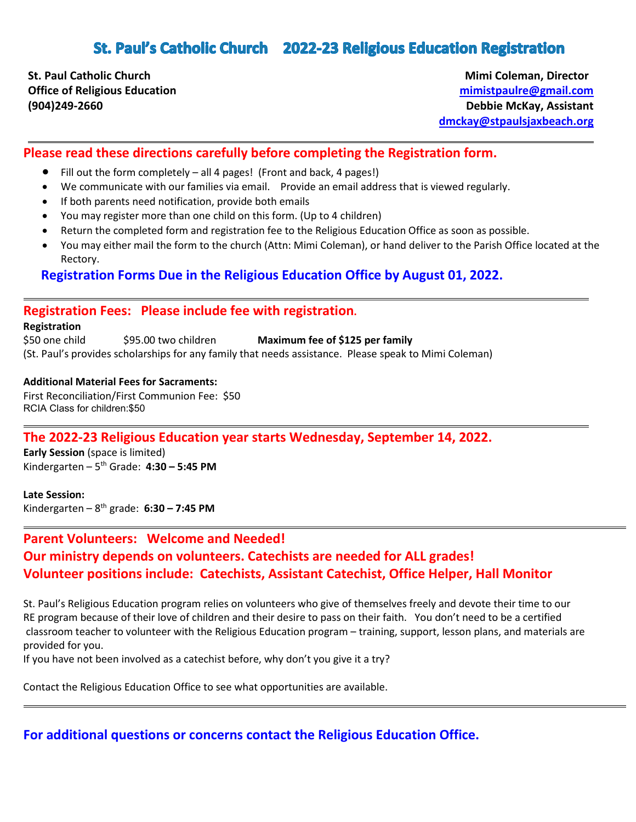# St. Paul's Catholic Church 2022-23 Religious Education Registration

**St. Paul Catholic Church Mimi Coleman, Director** Mimi Coleman, Director

**Office of Religious Education [mimistpaulre@gmail.com](mailto:mimistpaulre@gmail.com)  (904)249-2660 Debbie McKay, Assistant [dmckay@stpaulsjaxbeach.org](mailto:dmckay@stpaulsjaxbeach.org)**

### **Please read these directions carefully before completing the Registration form.**

- Fill out the form completely all 4 pages! (Front and back, 4 pages!)
- We communicate with our families via email. Provide an email address that is viewed regularly.
- If both parents need notification, provide both emails
- You may register more than one child on this form. (Up to 4 children)
- Return the completed form and registration fee to the Religious Education Office as soon as possible.
- You may either mail the form to the church (Attn: Mimi Coleman), or hand deliver to the Parish Office located at the Rectory.

 **Registration Forms Due in the Religious Education Office by August 01, 2022.**

### **Registration Fees: Please include fee with registration.**

#### **Registration**

\$50 one child \$95.00 two children **Maximum fee of \$125 per family** (St. Paul's provides scholarships for any family that needs assistance. Please speak to Mimi Coleman)

#### **Additional Material Fees for Sacraments:**

First Reconciliation/First Communion Fee: \$50 RCIA Class for children:\$50

### **The 2022-23 Religious Education year starts Wednesday, September 14, 2022.**

**Early Session** (space is limited) Kindergarten – 5th Grade: **4:30 – 5:45 PM** 

**Late Session:** Kindergarten – 8th grade: **6:30 – 7:45 PM**

# **Parent Volunteers: Welcome and Needed! Our ministry depends on volunteers. Catechists are needed for ALL grades! Volunteer positions include: Catechists, Assistant Catechist, Office Helper, Hall Monitor**

St. Paul's Religious Education program relies on volunteers who give of themselves freely and devote their time to our RE program because of their love of children and their desire to pass on their faith. You don't need to be a certified classroom teacher to volunteer with the Religious Education program – training, support, lesson plans, and materials are provided for you.

If you have not been involved as a catechist before, why don't you give it a try?

Contact the Religious Education Office to see what opportunities are available.

**For additional questions or concerns contact the Religious Education Office.**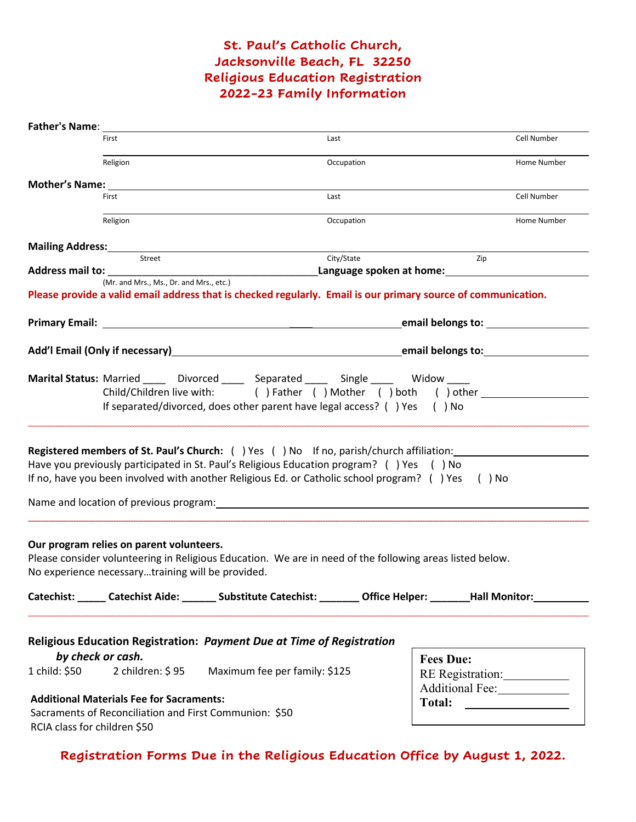# **St. Paul's Catholic Church, Jacksonville Beach, FL 32250 Religious Education Registration 2022-23 Family Information**

| Father's Name:                                                                                                                                                                                                                       |                                                                                               |                                                                                                                                                                                                                                                                                           |            |                                                          |             |
|--------------------------------------------------------------------------------------------------------------------------------------------------------------------------------------------------------------------------------------|-----------------------------------------------------------------------------------------------|-------------------------------------------------------------------------------------------------------------------------------------------------------------------------------------------------------------------------------------------------------------------------------------------|------------|----------------------------------------------------------|-------------|
|                                                                                                                                                                                                                                      | First                                                                                         |                                                                                                                                                                                                                                                                                           | Last       |                                                          | Cell Number |
|                                                                                                                                                                                                                                      | Religion                                                                                      |                                                                                                                                                                                                                                                                                           | Occupation |                                                          | Home Number |
|                                                                                                                                                                                                                                      |                                                                                               |                                                                                                                                                                                                                                                                                           |            |                                                          |             |
|                                                                                                                                                                                                                                      | First                                                                                         |                                                                                                                                                                                                                                                                                           | Last       |                                                          | Cell Number |
|                                                                                                                                                                                                                                      | Religion                                                                                      |                                                                                                                                                                                                                                                                                           | Occupation |                                                          | Home Number |
|                                                                                                                                                                                                                                      |                                                                                               | Mailing Address: Manual Address: Albert Mailing Address: Manual Address: Manual Address: Manual Address: Manua                                                                                                                                                                            |            |                                                          |             |
|                                                                                                                                                                                                                                      | Street                                                                                        |                                                                                                                                                                                                                                                                                           | City/State | Zip<br>Language spoken at home: Language spoken at home: |             |
|                                                                                                                                                                                                                                      | (Mr. and Mrs., Ms., Dr. and Mrs., etc.)                                                       |                                                                                                                                                                                                                                                                                           |            |                                                          |             |
|                                                                                                                                                                                                                                      |                                                                                               | Please provide a valid email address that is checked regularly. Email is our primary source of communication.                                                                                                                                                                             |            |                                                          |             |
|                                                                                                                                                                                                                                      |                                                                                               |                                                                                                                                                                                                                                                                                           |            | email belongs to: __________                             |             |
|                                                                                                                                                                                                                                      |                                                                                               | Add'l Email (Only if necessary) Manual Communication and the email belongs to:                                                                                                                                                                                                            |            |                                                          |             |
| Marital Status: Married _____ Divorced _____ Separated ____ Single ____ Widow ____<br>Child/Children live with: ( ) Father ( ) Mother ( ) both ( ) other<br>If separated/divorced, does other parent have legal access? () Yes () No |                                                                                               |                                                                                                                                                                                                                                                                                           |            |                                                          |             |
|                                                                                                                                                                                                                                      |                                                                                               | <b>Registered members of St. Paul's Church:</b> () Yes () No If no, parish/church affiliation:<br>Have you previously participated in St. Paul's Religious Education program? () Yes () No<br>If no, have you been involved with another Religious Ed. or Catholic school program? () Yes |            | ( ) No                                                   |             |
|                                                                                                                                                                                                                                      |                                                                                               | Name and location of previous program: Name and South Article and South Article and South Article and South Article and South Article and South Article and South Article and South Article and Article and Article and Articl                                                            |            |                                                          |             |
|                                                                                                                                                                                                                                      | Our program relies on parent volunteers.<br>No experience necessarytraining will be provided. | Please consider volunteering in Religious Education. We are in need of the following areas listed below.<br>Catechist: Catechist Aide: Catechist: Catechist: Catechist: Catechist: Catechist: Catechist: Catechist: Catechist                                                             |            |                                                          |             |
| 1 child: \$50                                                                                                                                                                                                                        | by check or cash.                                                                             | Religious Education Registration: Payment Due at Time of Registration<br>2 children: \$95 Maximum fee per family: \$125                                                                                                                                                                   |            | <b>Fees Due:</b><br>RE Registration:<br>Additional Fee:  |             |
|                                                                                                                                                                                                                                      | <b>Additional Materials Fee for Sacraments:</b>                                               |                                                                                                                                                                                                                                                                                           |            |                                                          |             |
|                                                                                                                                                                                                                                      |                                                                                               | Sacraments of Reconciliation and First Communion: \$50                                                                                                                                                                                                                                    |            |                                                          |             |
| RCIA class for children \$50                                                                                                                                                                                                         |                                                                                               |                                                                                                                                                                                                                                                                                           |            |                                                          |             |

**Registration Forms Due in the Religious Education Office by August 1, 2022.**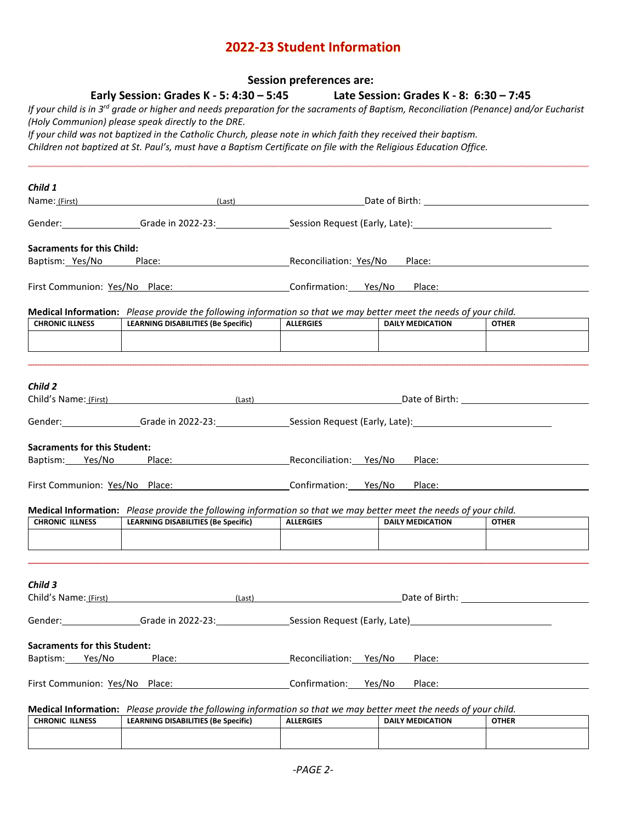# **2022-23 Student Information**

|                                                        |                                                                                                                                                                                                                                                                                                                                                                                                                                                                                               | <b>Session preferences are:</b> |                                         |              |
|--------------------------------------------------------|-----------------------------------------------------------------------------------------------------------------------------------------------------------------------------------------------------------------------------------------------------------------------------------------------------------------------------------------------------------------------------------------------------------------------------------------------------------------------------------------------|---------------------------------|-----------------------------------------|--------------|
|                                                        | Early Session: Grades K - 5: 4:30 $-$ 5:45<br>If your child is in 3 <sup>rd</sup> grade or higher and needs preparation for the sacraments of Baptism, Reconciliation (Penance) and/or Eucharist<br>(Holy Communion) please speak directly to the DRE.<br>If your child was not baptized in the Catholic Church, please note in which faith they received their baptism.<br>Children not baptized at St. Paul's, must have a Baptism Certificate on file with the Religious Education Office. |                                 | Late Session: Grades K - 8: 6:30 – 7:45 |              |
|                                                        |                                                                                                                                                                                                                                                                                                                                                                                                                                                                                               |                                 |                                         |              |
|                                                        |                                                                                                                                                                                                                                                                                                                                                                                                                                                                                               |                                 |                                         |              |
| Child 1                                                |                                                                                                                                                                                                                                                                                                                                                                                                                                                                                               |                                 |                                         |              |
|                                                        | Name: (First) Contract (Exception of Direct) Class (Last) Contract Contract Contract Contract Contract Contract Contract Contract Contract Contract Contract Contract Contract Contract Contract Contract Contract Contract Co                                                                                                                                                                                                                                                                |                                 |                                         |              |
|                                                        | Gender: Grade in 2022-23: Session Request (Early, Late):                                                                                                                                                                                                                                                                                                                                                                                                                                      |                                 |                                         |              |
| <b>Sacraments for this Child:</b>                      |                                                                                                                                                                                                                                                                                                                                                                                                                                                                                               |                                 |                                         |              |
| Baptism: Yes/No                                        | Place: Reconciliation: Yes/No Place:                                                                                                                                                                                                                                                                                                                                                                                                                                                          |                                 |                                         |              |
|                                                        |                                                                                                                                                                                                                                                                                                                                                                                                                                                                                               |                                 |                                         |              |
|                                                        | First Communion: Yes/No Place:                                                                                                                                                                                                                                                                                                                                                                                                                                                                | Confirmation: Yes/No Place:     |                                         |              |
|                                                        | Medical Information: Please provide the following information so that we may better meet the needs of your child.                                                                                                                                                                                                                                                                                                                                                                             |                                 |                                         |              |
| <b>CHRONIC ILLNESS</b>                                 | <b>LEARNING DISABILITIES (Be Specific)</b>                                                                                                                                                                                                                                                                                                                                                                                                                                                    | <b>ALLERGIES</b>                | <b>DAILY MEDICATION</b>                 | <b>OTHER</b> |
|                                                        |                                                                                                                                                                                                                                                                                                                                                                                                                                                                                               |                                 |                                         |              |
|                                                        |                                                                                                                                                                                                                                                                                                                                                                                                                                                                                               |                                 |                                         |              |
| Child 2                                                |                                                                                                                                                                                                                                                                                                                                                                                                                                                                                               |                                 |                                         |              |
|                                                        | Child's Name: (First) (Last) (Last) Date of Birth: Letter and Date of Birth: Letter and Date of Birth:                                                                                                                                                                                                                                                                                                                                                                                        |                                 |                                         |              |
|                                                        | Gender: Games Grade in 2022-23: Session Request (Early, Late): Cambridge Cames Grade in 2022-23:                                                                                                                                                                                                                                                                                                                                                                                              |                                 |                                         |              |
|                                                        |                                                                                                                                                                                                                                                                                                                                                                                                                                                                                               |                                 |                                         |              |
| <b>Sacraments for this Student:</b><br>Baptism: Yes/No | Place: The contract of the contract of the contract of the contract of the contract of the contract of the contract of the contract of the contract of the contract of the contract of the contract of the contract of the con                                                                                                                                                                                                                                                                |                                 | Reconciliation: Yes/No Place:           |              |
|                                                        |                                                                                                                                                                                                                                                                                                                                                                                                                                                                                               |                                 |                                         |              |
|                                                        | First Communion: Yes/No Place:                                                                                                                                                                                                                                                                                                                                                                                                                                                                | Confirmation: Yes/No Place:     |                                         |              |
|                                                        | Medical Information: Please provide the following information so that we may better meet the needs of your child.                                                                                                                                                                                                                                                                                                                                                                             |                                 |                                         |              |
| <b>CHRONIC ILLNESS</b>                                 | <b>LEARNING DISABILITIES (Be Specific)</b>                                                                                                                                                                                                                                                                                                                                                                                                                                                    | <b>ALLERGIES</b>                | <b>DAILY MEDICATION</b>                 | <b>OTHER</b> |
|                                                        |                                                                                                                                                                                                                                                                                                                                                                                                                                                                                               |                                 |                                         |              |
|                                                        |                                                                                                                                                                                                                                                                                                                                                                                                                                                                                               |                                 |                                         |              |
|                                                        |                                                                                                                                                                                                                                                                                                                                                                                                                                                                                               |                                 |                                         |              |
| Child 3<br>Child's Name: (First)                       | (Last)                                                                                                                                                                                                                                                                                                                                                                                                                                                                                        |                                 | Date of Birth: The State of Birth:      |              |
|                                                        |                                                                                                                                                                                                                                                                                                                                                                                                                                                                                               |                                 |                                         |              |
|                                                        | Gender: Games Grade in 2022-23: Contract Session Request (Early, Late) Contract Contract Grade in 2022-23:                                                                                                                                                                                                                                                                                                                                                                                    |                                 |                                         |              |
| <b>Sacraments for this Student:</b>                    |                                                                                                                                                                                                                                                                                                                                                                                                                                                                                               |                                 |                                         |              |
| Baptism: Yes/No                                        | Place:                                                                                                                                                                                                                                                                                                                                                                                                                                                                                        | Reconciliation: Yes/No          | Place:                                  |              |
| First Communion: Yes/No Place:                         |                                                                                                                                                                                                                                                                                                                                                                                                                                                                                               | Confirmation:                   | Place:<br>Yes/No                        |              |
|                                                        |                                                                                                                                                                                                                                                                                                                                                                                                                                                                                               |                                 |                                         |              |
| <b>CHRONIC ILLNESS</b>                                 | Medical Information: Please provide the following information so that we may better meet the needs of your child.<br><b>LEARNING DISABILITIES (Be Specific)</b>                                                                                                                                                                                                                                                                                                                               |                                 |                                         |              |
|                                                        |                                                                                                                                                                                                                                                                                                                                                                                                                                                                                               | <b>ALLERGIES</b>                | <b>DAILY MEDICATION</b>                 | <b>OTHER</b> |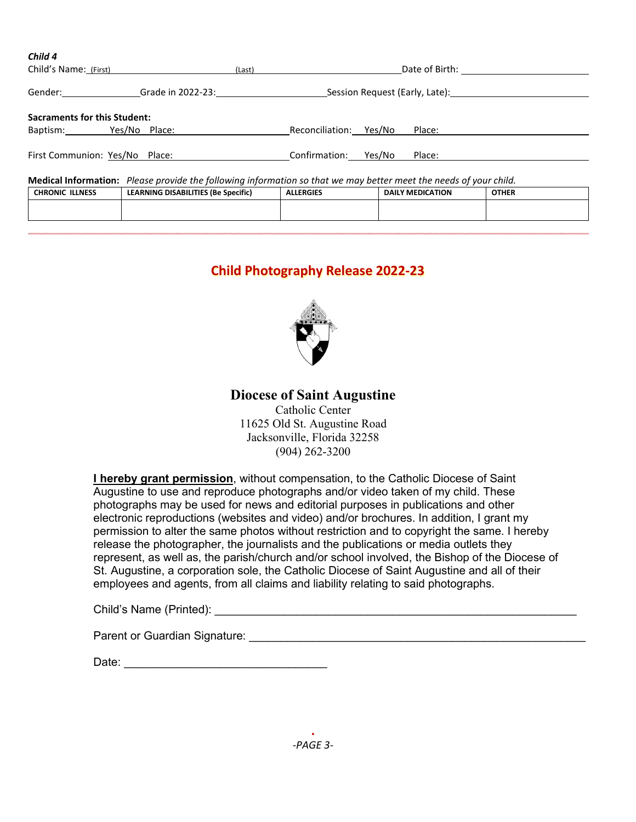| $\frac{1}{2}$<br>Child's Name: (First)                                                                            | (Last)                                                  |                        | Date of Birth: Date of Birth:  |              |
|-------------------------------------------------------------------------------------------------------------------|---------------------------------------------------------|------------------------|--------------------------------|--------------|
| Gender:<br>Grade in 2022-23:                                                                                      |                                                         |                        | Session Request (Early, Late): |              |
| <b>Sacraments for this Student:</b>                                                                               |                                                         |                        |                                |              |
| Baptism: Yes/No Place:                                                                                            |                                                         | Reconciliation: Yes/No | Place:                         |              |
| First Communion: Yes/No Place:                                                                                    |                                                         | Confirmation: Yes/No   | Place:                         |              |
| Medical Information: Please provide the following information so that we may better meet the needs of your child. |                                                         |                        |                                |              |
| <b>CHRONIC ILLNESS</b>                                                                                            | LEARNING DISABILITIES (Be Specific)<br><b>ALLERGIES</b> |                        | <b>DAILY MEDICATION</b>        | <b>OTHER</b> |

| <b>ILLNESS</b><br><b>CHRONIC</b> | <b>LEARNING DISABILITIES (Be Specific)</b> | <b>ALLERGIES</b> | <b>DAILY MEDICATION</b> | <b>OTHER</b> |
|----------------------------------|--------------------------------------------|------------------|-------------------------|--------------|
|                                  |                                            |                  |                         |              |
|                                  |                                            |                  |                         |              |

# **Child Photography Release 2022-23**



**Diocese of Saint Augustine**

Catholic Center 11625 Old St. Augustine Road Jacksonville, Florida 32258 (904) 262-3200

**I hereby grant permission**, without compensation, to the Catholic Diocese of Saint Augustine to use and reproduce photographs and/or video taken of my child. These photographs may be used for news and editorial purposes in publications and other electronic reproductions (websites and video) and/or brochures. In addition, I grant my permission to alter the same photos without restriction and to copyright the same. I hereby release the photographer, the journalists and the publications or media outlets they represent, as well as, the parish/church and/or school involved, the Bishop of the Diocese of St. Augustine, a corporation sole, the Catholic Diocese of Saint Augustine and all of their employees and agents, from all claims and liability relating to said photographs.

Child's Name (Printed):

*Child 4*

Parent or Guardian Signature: \_\_\_\_\_\_\_\_\_\_\_\_\_\_\_\_\_\_\_\_\_\_\_\_\_\_\_\_\_\_\_\_\_\_\_\_\_\_\_\_\_\_\_\_\_\_\_\_\_\_\_\_\_

Date: \_\_\_\_\_\_\_\_\_\_\_\_\_\_\_\_\_\_\_\_\_\_\_\_\_\_\_\_\_\_\_\_